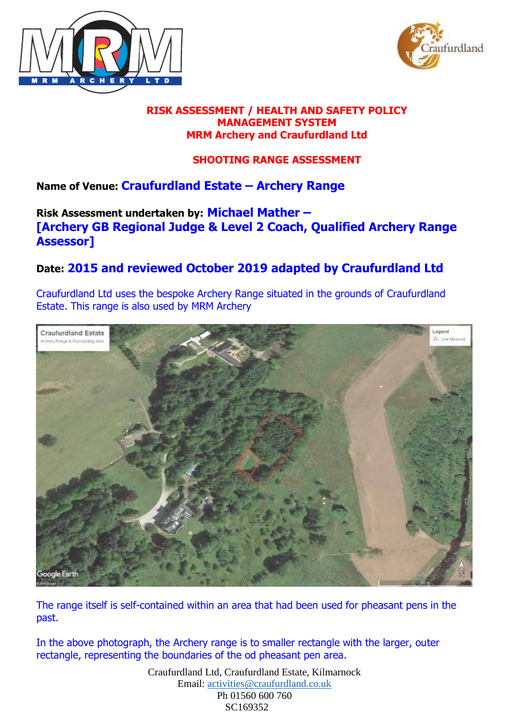



#### **RISK ASSESSMENT / HEALTH AND SAFETY POLICY MANAGEMENT SYSTEM MRM Archery and Craufurdland Ltd**

### **SHOOTING RANGE ASSESSMENT**

## **Name of Venue: Craufurdland Estate – Archery Range**

### **Risk Assessment undertaken by: Michael Mather – [Archery GB Regional Judge & Level 2 Coach, Qualified Archery Range Assessor]**

# **Date: 2015 and reviewed October 2019 adapted by Craufurdland Ltd**

Craufurdland Ltd uses the bespoke Archery Range situated in the grounds of Craufurdland Estate. This range is also used by MRM Archery



The range itself is self-contained within an area that had been used for pheasant pens in the past.

In the above photograph, the Archery range is to smaller rectangle with the larger, outer rectangle, representing the boundaries of the od pheasant pen area.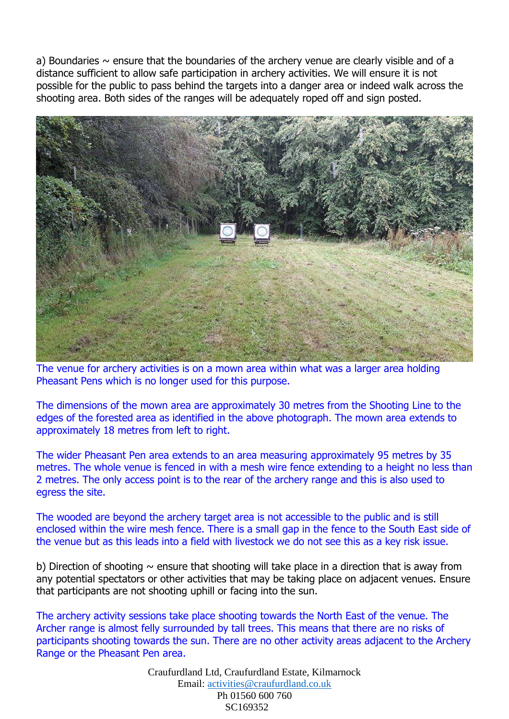a) Boundaries  $\sim$  ensure that the boundaries of the archery venue are clearly visible and of a distance sufficient to allow safe participation in archery activities. We will ensure it is not possible for the public to pass behind the targets into a danger area or indeed walk across the shooting area. Both sides of the ranges will be adequately roped off and sign posted.



The venue for archery activities is on a mown area within what was a larger area holding Pheasant Pens which is no longer used for this purpose.

The dimensions of the mown area are approximately 30 metres from the Shooting Line to the edges of the forested area as identified in the above photograph. The mown area extends to approximately 18 metres from left to right.

The wider Pheasant Pen area extends to an area measuring approximately 95 metres by 35 metres. The whole venue is fenced in with a mesh wire fence extending to a height no less than 2 metres. The only access point is to the rear of the archery range and this is also used to egress the site.

The wooded are beyond the archery target area is not accessible to the public and is still enclosed within the wire mesh fence. There is a small gap in the fence to the South East side of the venue but as this leads into a field with livestock we do not see this as a key risk issue.

b) Direction of shooting  $\sim$  ensure that shooting will take place in a direction that is away from any potential spectators or other activities that may be taking place on adjacent venues. Ensure that participants are not shooting uphill or facing into the sun.

The archery activity sessions take place shooting towards the North East of the venue. The Archer range is almost felly surrounded by tall trees. This means that there are no risks of participants shooting towards the sun. There are no other activity areas adjacent to the Archery Range or the Pheasant Pen area.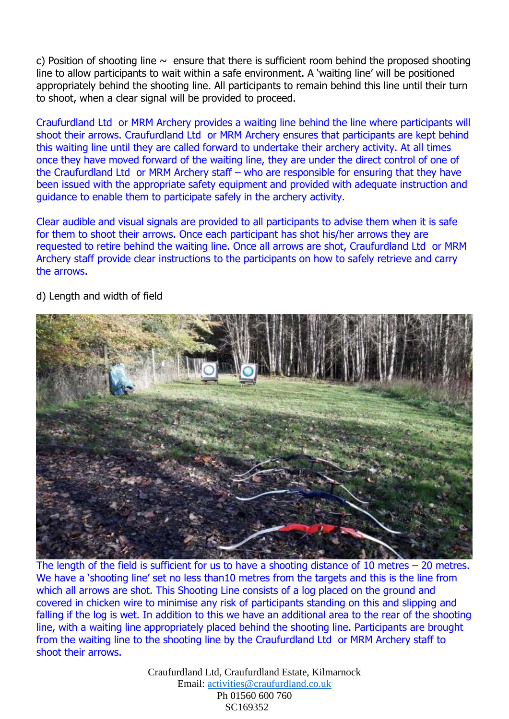c) Position of shooting line  $\sim$  ensure that there is sufficient room behind the proposed shooting line to allow participants to wait within a safe environment. A 'waiting line' will be positioned appropriately behind the shooting line. All participants to remain behind this line until their turn to shoot, when a clear signal will be provided to proceed.

Craufurdland Ltd or MRM Archery provides a waiting line behind the line where participants will shoot their arrows. Craufurdland Ltd or MRM Archery ensures that participants are kept behind this waiting line until they are called forward to undertake their archery activity. At all times once they have moved forward of the waiting line, they are under the direct control of one of the Craufurdland Ltd or MRM Archery staff – who are responsible for ensuring that they have been issued with the appropriate safety equipment and provided with adequate instruction and guidance to enable them to participate safely in the archery activity.

Clear audible and visual signals are provided to all participants to advise them when it is safe for them to shoot their arrows. Once each participant has shot his/her arrows they are requested to retire behind the waiting line. Once all arrows are shot, Craufurdland Ltd or MRM Archery staff provide clear instructions to the participants on how to safely retrieve and carry the arrows.



d) Length and width of field

The length of the field is sufficient for us to have a shooting distance of 10 metres  $-$  20 metres. We have a 'shooting line' set no less than10 metres from the targets and this is the line from which all arrows are shot. This Shooting Line consists of a log placed on the ground and covered in chicken wire to minimise any risk of participants standing on this and slipping and falling if the log is wet. In addition to this we have an additional area to the rear of the shooting line, with a waiting line appropriately placed behind the shooting line. Participants are brought from the waiting line to the shooting line by the Craufurdland Ltd or MRM Archery staff to shoot their arrows.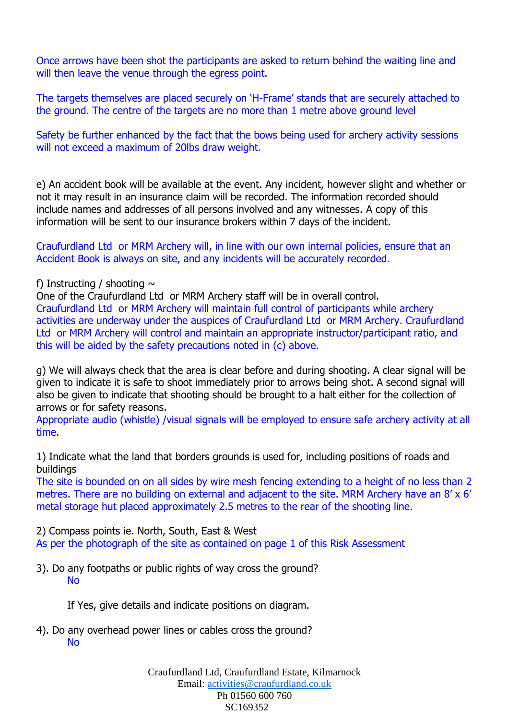Once arrows have been shot the participants are asked to return behind the waiting line and will then leave the venue through the egress point.

The targets themselves are placed securely on 'H-Frame' stands that are securely attached to the ground. The centre of the targets are no more than 1 metre above ground level

Safety be further enhanced by the fact that the bows being used for archery activity sessions will not exceed a maximum of 20lbs draw weight.

e) An accident book will be available at the event. Any incident, however slight and whether or not it may result in an insurance claim will be recorded. The information recorded should include names and addresses of all persons involved and any witnesses. A copy of this information will be sent to our insurance brokers within 7 days of the incident.

Craufurdland Ltd or MRM Archery will, in line with our own internal policies, ensure that an Accident Book is always on site, and any incidents will be accurately recorded.

#### f) Instructing / shooting  $\sim$

One of the Craufurdland Ltd or MRM Archery staff will be in overall control. Craufurdland Ltd or MRM Archery will maintain full control of participants while archery activities are underway under the auspices of Craufurdland Ltd or MRM Archery. Craufurdland Ltd or MRM Archery will control and maintain an appropriate instructor/participant ratio, and this will be aided by the safety precautions noted in (c) above.

g) We will always check that the area is clear before and during shooting. A clear signal will be given to indicate it is safe to shoot immediately prior to arrows being shot. A second signal will also be given to indicate that shooting should be brought to a halt either for the collection of arrows or for safety reasons.

Appropriate audio (whistle) /visual signals will be employed to ensure safe archery activity at all time.

1) Indicate what the land that borders grounds is used for, including positions of roads and buildings

The site is bounded on on all sides by wire mesh fencing extending to a height of no less than 2 metres. There are no building on external and adjacent to the site. MRM Archery have an 8' x 6' metal storage hut placed approximately 2.5 metres to the rear of the shooting line.

2) Compass points ie. North, South, East & West

As per the photograph of the site as contained on page 1 of this Risk Assessment

3). Do any footpaths or public rights of way cross the ground? No

If Yes, give details and indicate positions on diagram.

4). Do any overhead power lines or cables cross the ground? No